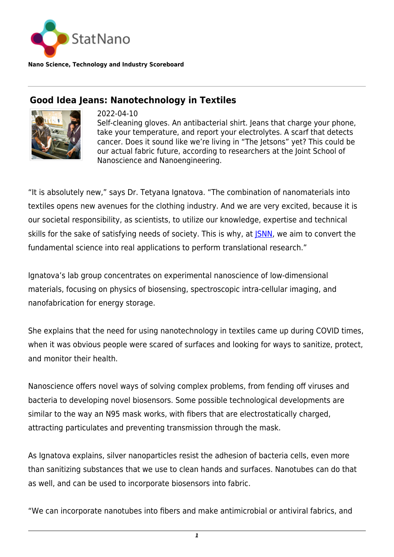

**Nano Science, Technology and Industry Scoreboard**

## **Good Idea Jeans: Nanotechnology in Textiles**



2022-04-10 Self-cleaning gloves. An antibacterial shirt. Jeans that charge your phone, take your temperature, and report your electrolytes. A scarf that detects cancer. Does it sound like we're living in "The Jetsons" yet? This could be our actual fabric future, according to researchers at the Joint School of Nanoscience and Nanoengineering.

"It is absolutely new," says Dr. Tetyana Ignatova. "The combination of nanomaterials into textiles opens new avenues for the clothing industry. And we are very excited, because it is our societal responsibility, as scientists, to utilize our knowledge, expertise and technical skills for the sake of satisfying needs of society. This is why, at *SNN*, we aim to convert the fundamental science into real applications to perform translational research."

Ignatova's lab group concentrates on experimental nanoscience of low-dimensional materials, focusing on physics of biosensing, spectroscopic intra-cellular imaging, and nanofabrication for energy storage.

She explains that the need for using nanotechnology in textiles came up during COVID times, when it was obvious people were scared of surfaces and looking for ways to sanitize, protect, and monitor their health.

Nanoscience offers novel ways of solving complex problems, from fending off viruses and bacteria to developing novel biosensors. Some possible technological developments are similar to the way an N95 mask works, with fibers that are electrostatically charged, attracting particulates and preventing transmission through the mask.

As Ignatova explains, silver nanoparticles resist the adhesion of bacteria cells, even more than sanitizing substances that we use to clean hands and surfaces. Nanotubes can do that as well, and can be used to incorporate biosensors into fabric.

"We can incorporate nanotubes into fibers and make antimicrobial or antiviral fabrics, and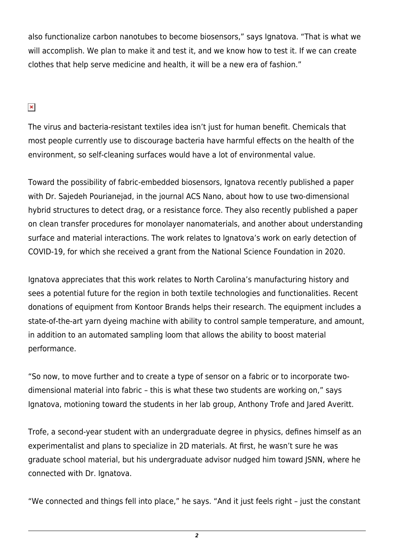also functionalize carbon nanotubes to become biosensors," says Ignatova. "That is what we will accomplish. We plan to make it and test it, and we know how to test it. If we can create clothes that help serve medicine and health, it will be a new era of fashion."

## $\pmb{\times}$

The virus and bacteria-resistant textiles idea isn't just for human benefit. Chemicals that most people currently use to discourage bacteria have harmful effects on the health of the environment, so self-cleaning surfaces would have a lot of environmental value.

Toward the possibility of fabric-embedded biosensors, Ignatova recently published a paper with Dr. Sajedeh Pourianejad, in the journal ACS Nano, about how to use two-dimensional hybrid structures to detect drag, or a resistance force. They also recently published a paper on clean transfer procedures for monolayer nanomaterials, and another about understanding surface and material interactions. The work relates to Ignatova's work on early detection of COVID-19, for which she received a grant from the National Science Foundation in 2020.

Ignatova appreciates that this work relates to North Carolina's manufacturing history and sees a potential future for the region in both textile technologies and functionalities. Recent donations of equipment from Kontoor Brands helps their research. The equipment includes a state-of-the-art yarn dyeing machine with ability to control sample temperature, and amount, in addition to an automated sampling loom that allows the ability to boost material performance.

"So now, to move further and to create a type of sensor on a fabric or to incorporate twodimensional material into fabric – this is what these two students are working on," says Ignatova, motioning toward the students in her lab group, Anthony Trofe and Jared Averitt.

Trofe, a second-year student with an undergraduate degree in physics, defines himself as an experimentalist and plans to specialize in 2D materials. At first, he wasn't sure he was graduate school material, but his undergraduate advisor nudged him toward JSNN, where he connected with Dr. Ignatova.

"We connected and things fell into place," he says. "And it just feels right – just the constant

*2*